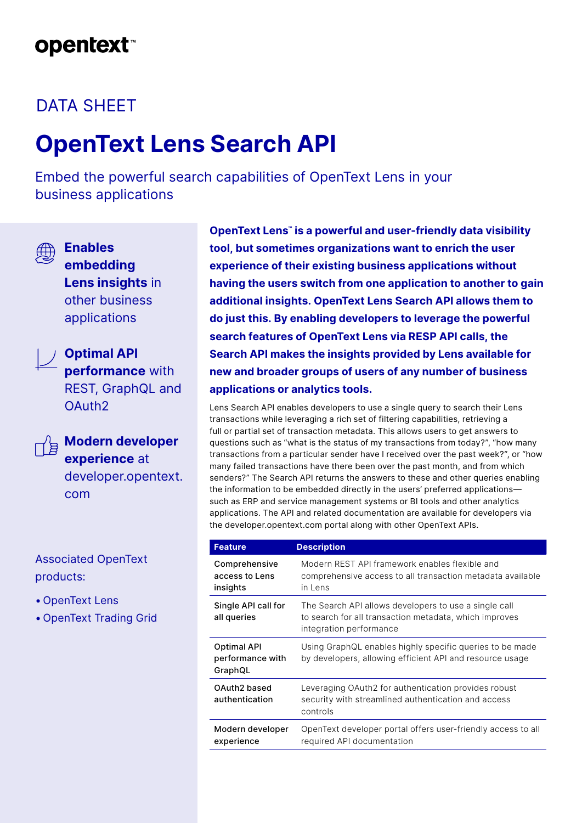## **opentext™**

### DATA SHEET

# **OpenText Lens Search API**

Embed the powerful search capabilities of OpenText Lens in your business applications



**Enables embedding Lens insights** in other business applications



**Optimal API performance** with REST, GraphQL and OAuth2



**Modern developer experience** at developer.opentext.

Associated OpenText products:

• OpenText Lens

com

• OpenText Trading Grid

**OpenText Lens™ is a powerful and user-friendly data visibility tool, but sometimes organizations want to enrich the user experience of their existing business applications without having the users switch from one application to another to gain additional insights. OpenText Lens Search API allows them to do just this. By enabling developers to leverage the powerful search features of OpenText Lens via RESP API calls, the Search API makes the insights provided by Lens available for new and broader groups of users of any number of business applications or analytics tools.**

Lens Search API enables developers to use a single query to search their Lens transactions while leveraging a rich set of filtering capabilities, retrieving a full or partial set of transaction metadata. This allows users to get answers to questions such as "what is the status of my transactions from today?", "how many transactions from a particular sender have I received over the past week?", or "how many failed transactions have there been over the past month, and from which senders?" The Search API returns the answers to these and other queries enabling the information to be embedded directly in the users' preferred applications such as ERP and service management systems or BI tools and other analytics applications. The API and related documentation are available for developers via the developer.opentext.com portal along with other OpenText APIs.

| <b>Feature</b>                                    | <b>Description</b>                                                                                                                         |  |  |  |
|---------------------------------------------------|--------------------------------------------------------------------------------------------------------------------------------------------|--|--|--|
| Comprehensive<br>access to Lens<br>insights       | Modern REST API framework enables flexible and<br>comprehensive access to all transaction metadata available<br>in Lens                    |  |  |  |
| Single API call for<br>all queries                | The Search API allows developers to use a single call<br>to search for all transaction metadata, which improves<br>integration performance |  |  |  |
| <b>Optimal API</b><br>performance with<br>GraphQL | Using GraphQL enables highly specific queries to be made<br>by developers, allowing efficient API and resource usage                       |  |  |  |
| OAuth2 based<br>authentication                    | Leveraging OAuth2 for authentication provides robust<br>security with streamlined authentication and access<br>controls                    |  |  |  |
| Modern developer<br>experience                    | OpenText developer portal offers user-friendly access to all<br>required API documentation                                                 |  |  |  |